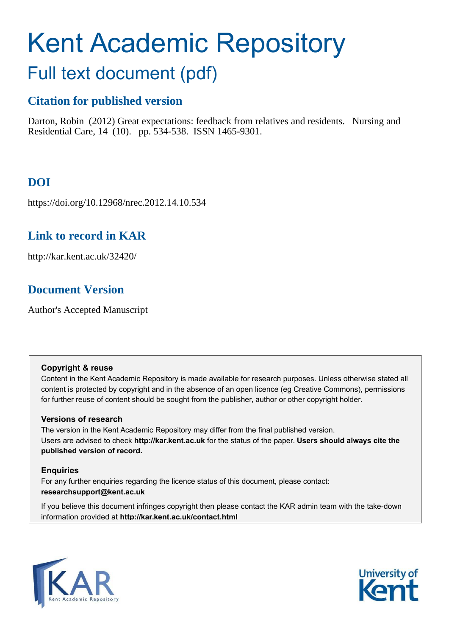# Kent Academic Repository

## Full text document (pdf)

## **Citation for published version**

Darton, Robin (2012) Great expectations: feedback from relatives and residents. Nursing and Residential Care, 14 (10). pp. 534-538. ISSN 1465-9301.

## **DOI**

https://doi.org/10.12968/nrec.2012.14.10.534

## **Link to record in KAR**

http://kar.kent.ac.uk/32420/

## **Document Version**

Author's Accepted Manuscript

#### **Copyright & reuse**

Content in the Kent Academic Repository is made available for research purposes. Unless otherwise stated all content is protected by copyright and in the absence of an open licence (eg Creative Commons), permissions for further reuse of content should be sought from the publisher, author or other copyright holder.

#### **Versions of research**

The version in the Kent Academic Repository may differ from the final published version. Users are advised to check **http://kar.kent.ac.uk** for the status of the paper. **Users should always cite the published version of record.**

#### **Enquiries**

For any further enquiries regarding the licence status of this document, please contact: **researchsupport@kent.ac.uk**

If you believe this document infringes copyright then please contact the KAR admin team with the take-down information provided at **http://kar.kent.ac.uk/contact.html**



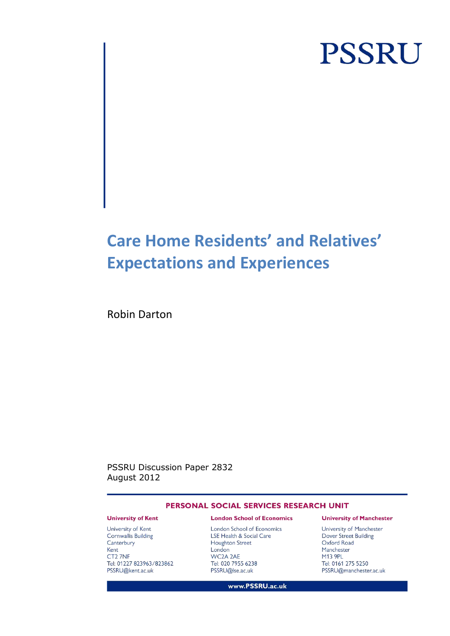

# **Care Home Residents' and Relatives' Expectations and Experiences**

**Robin Darton** 

**PSSRU Discussion Paper 2832** August 2012

#### PERSONAL SOCIAL SERVICES RESEARCH UNIT

#### **University of Kent**

University of Kent **Cornwallis Building** Canterbury Kent CT<sub>2</sub> 7NF Tel: 01227 823963/823862 PSSRU@kent.ac.uk

#### **London School of Economics**

London School of Economics LSE Health & Social Care Houghton Street London WC2A 2AE Tel: 020 7955 6238 PSSRU@lse.ac.uk

#### **University of Manchester**

University of Manchester Dover Street Building Oxford Road Manchester M13 9PL Tel: 0161 275 5250 PSSRU@manchester.ac.uk

www.PSSRU.ac.uk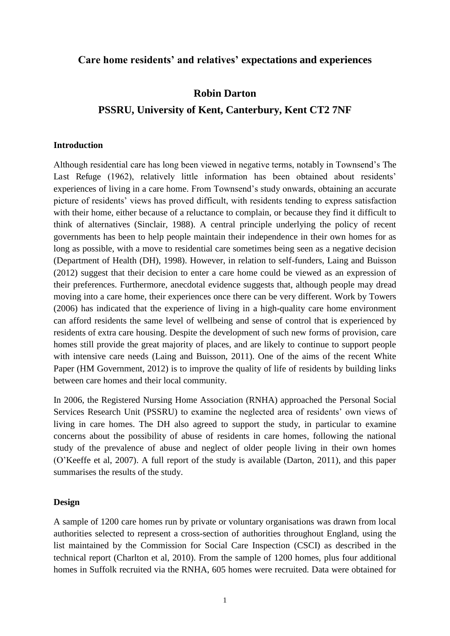#### **Care home residents' and relatives' expectations and experiences**

## **Robin Darton PSSRU, University of Kent, Canterbury, Kent CT2 7NF**

#### **Introduction**

Although residential care has long been viewed in negative terms, notably in Townsend's The Last Refuge (1962), relatively little information has been obtained about residents' experiences of living in a care home. From Townsend's study onwards, obtaining an accurate picture of residents' views has proved difficult, with residents tending to express satisfaction with their home, either because of a reluctance to complain, or because they find it difficult to think of alternatives (Sinclair, 1988). A central principle underlying the policy of recent governments has been to help people maintain their independence in their own homes for as long as possible, with a move to residential care sometimes being seen as a negative decision (Department of Health (DH), 1998). However, in relation to self-funders, Laing and Buisson (2012) suggest that their decision to enter a care home could be viewed as an expression of their preferences. Furthermore, anecdotal evidence suggests that, although people may dread moving into a care home, their experiences once there can be very different. Work by Towers (2006) has indicated that the experience of living in a high-quality care home environment can afford residents the same level of wellbeing and sense of control that is experienced by residents of extra care housing. Despite the development of such new forms of provision, care homes still provide the great majority of places, and are likely to continue to support people with intensive care needs (Laing and Buisson, 2011). One of the aims of the recent White Paper (HM Government, 2012) is to improve the quality of life of residents by building links between care homes and their local community.

In 2006, the Registered Nursing Home Association (RNHA) approached the Personal Social Services Research Unit (PSSRU) to examine the neglected area of residents' own views of living in care homes. The DH also agreed to support the study, in particular to examine concerns about the possibility of abuse of residents in care homes, following the national study of the prevalence of abuse and neglect of older people living in their own homes (O'Keeffe et al, 2007). A full report of the study is available (Darton, 2011), and this paper summarises the results of the study.

#### **Design**

A sample of 1200 care homes run by private or voluntary organisations was drawn from local authorities selected to represent a cross-section of authorities throughout England, using the list maintained by the Commission for Social Care Inspection (CSCI) as described in the technical report (Charlton et al, 2010). From the sample of 1200 homes, plus four additional homes in Suffolk recruited via the RNHA, 605 homes were recruited. Data were obtained for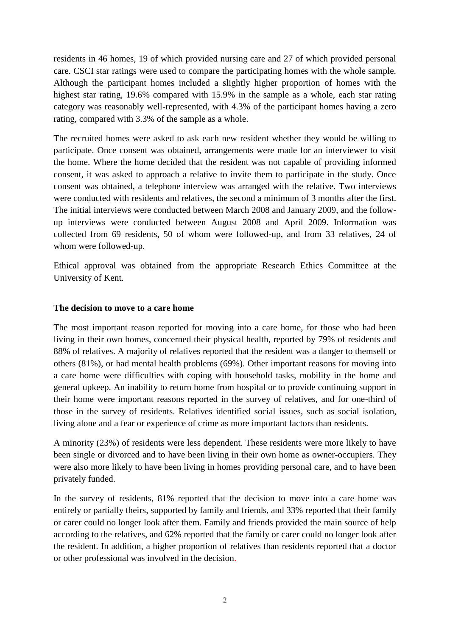residents in 46 homes, 19 of which provided nursing care and 27 of which provided personal care. CSCI star ratings were used to compare the participating homes with the whole sample. Although the participant homes included a slightly higher proportion of homes with the highest star rating, 19.6% compared with 15.9% in the sample as a whole, each star rating category was reasonably well-represented, with 4.3% of the participant homes having a zero rating, compared with 3.3% of the sample as a whole.

The recruited homes were asked to ask each new resident whether they would be willing to participate. Once consent was obtained, arrangements were made for an interviewer to visit the home. Where the home decided that the resident was not capable of providing informed consent, it was asked to approach a relative to invite them to participate in the study. Once consent was obtained, a telephone interview was arranged with the relative. Two interviews were conducted with residents and relatives, the second a minimum of 3 months after the first. The initial interviews were conducted between March 2008 and January 2009, and the followup interviews were conducted between August 2008 and April 2009. Information was collected from 69 residents, 50 of whom were followed-up, and from 33 relatives, 24 of whom were followed-up.

Ethical approval was obtained from the appropriate Research Ethics Committee at the University of Kent.

#### **The decision to move to a care home**

The most important reason reported for moving into a care home, for those who had been living in their own homes, concerned their physical health, reported by 79% of residents and 88% of relatives. A majority of relatives reported that the resident was a danger to themself or others (81%), or had mental health problems (69%). Other important reasons for moving into a care home were difficulties with coping with household tasks, mobility in the home and general upkeep. An inability to return home from hospital or to provide continuing support in their home were important reasons reported in the survey of relatives, and for one-third of those in the survey of residents. Relatives identified social issues, such as social isolation, living alone and a fear or experience of crime as more important factors than residents.

A minority (23%) of residents were less dependent. These residents were more likely to have been single or divorced and to have been living in their own home as owner-occupiers. They were also more likely to have been living in homes providing personal care, and to have been privately funded.

In the survey of residents, 81% reported that the decision to move into a care home was entirely or partially theirs, supported by family and friends, and 33% reported that their family or carer could no longer look after them. Family and friends provided the main source of help according to the relatives, and 62% reported that the family or carer could no longer look after the resident. In addition, a higher proportion of relatives than residents reported that a doctor or other professional was involved in the decision.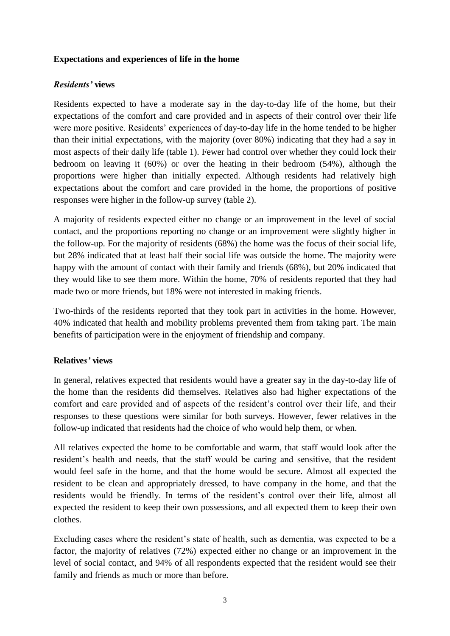#### **Expectations and experiences of life in the home**

#### *Residents'* **views**

Residents expected to have a moderate say in the day-to-day life of the home, but their expectations of the comfort and care provided and in aspects of their control over their life were more positive. Residents' experiences of day-to-day life in the home tended to be higher than their initial expectations, with the majority (over 80%) indicating that they had a say in most aspects of their daily life (table 1). Fewer had control over whether they could lock their bedroom on leaving it (60%) or over the heating in their bedroom (54%), although the proportions were higher than initially expected. Although residents had relatively high expectations about the comfort and care provided in the home, the proportions of positive responses were higher in the follow-up survey (table 2).

A majority of residents expected either no change or an improvement in the level of social contact, and the proportions reporting no change or an improvement were slightly higher in the follow-up. For the majority of residents (68%) the home was the focus of their social life, but 28% indicated that at least half their social life was outside the home. The majority were happy with the amount of contact with their family and friends (68%), but 20% indicated that they would like to see them more. Within the home, 70% of residents reported that they had made two or more friends, but 18% were not interested in making friends.

Two-thirds of the residents reported that they took part in activities in the home. However, 40% indicated that health and mobility problems prevented them from taking part. The main benefits of participation were in the enjoyment of friendship and company.

#### **Relative***s'* **views**

In general, relatives expected that residents would have a greater say in the day-to-day life of the home than the residents did themselves. Relatives also had higher expectations of the comfort and care provided and of aspects of the resident's control over their life, and their responses to these questions were similar for both surveys. However, fewer relatives in the follow-up indicated that residents had the choice of who would help them, or when.

All relatives expected the home to be comfortable and warm, that staff would look after the resident's health and needs, that the staff would be caring and sensitive, that the resident would feel safe in the home, and that the home would be secure. Almost all expected the resident to be clean and appropriately dressed, to have company in the home, and that the residents would be friendly. In terms of the resident's control over their life, almost all expected the resident to keep their own possessions, and all expected them to keep their own clothes.

Excluding cases where the resident's state of health, such as dementia, was expected to be a factor, the majority of relatives (72%) expected either no change or an improvement in the level of social contact, and 94% of all respondents expected that the resident would see their family and friends as much or more than before.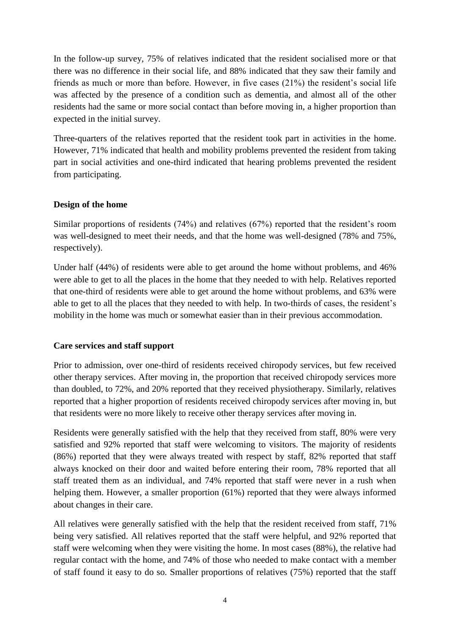In the follow-up survey, 75% of relatives indicated that the resident socialised more or that there was no difference in their social life, and 88% indicated that they saw their family and friends as much or more than before. However, in five cases (21%) the resident's social life was affected by the presence of a condition such as dementia, and almost all of the other residents had the same or more social contact than before moving in, a higher proportion than expected in the initial survey.

Three-quarters of the relatives reported that the resident took part in activities in the home. However, 71% indicated that health and mobility problems prevented the resident from taking part in social activities and one-third indicated that hearing problems prevented the resident from participating.

#### **Design of the home**

Similar proportions of residents (74%) and relatives (67%) reported that the resident's room was well-designed to meet their needs, and that the home was well-designed (78% and 75%, respectively).

Under half (44%) of residents were able to get around the home without problems, and 46% were able to get to all the places in the home that they needed to with help. Relatives reported that one-third of residents were able to get around the home without problems, and 63% were able to get to all the places that they needed to with help. In two-thirds of cases, the resident's mobility in the home was much or somewhat easier than in their previous accommodation.

#### **Care services and staff support**

Prior to admission, over one-third of residents received chiropody services, but few received other therapy services. After moving in, the proportion that received chiropody services more than doubled, to 72%, and 20% reported that they received physiotherapy. Similarly, relatives reported that a higher proportion of residents received chiropody services after moving in, but that residents were no more likely to receive other therapy services after moving in.

Residents were generally satisfied with the help that they received from staff, 80% were very satisfied and 92% reported that staff were welcoming to visitors. The majority of residents (86%) reported that they were always treated with respect by staff, 82% reported that staff always knocked on their door and waited before entering their room, 78% reported that all staff treated them as an individual, and 74% reported that staff were never in a rush when helping them. However, a smaller proportion (61%) reported that they were always informed about changes in their care.

All relatives were generally satisfied with the help that the resident received from staff, 71% being very satisfied. All relatives reported that the staff were helpful, and 92% reported that staff were welcoming when they were visiting the home. In most cases (88%), the relative had regular contact with the home, and 74% of those who needed to make contact with a member of staff found it easy to do so. Smaller proportions of relatives (75%) reported that the staff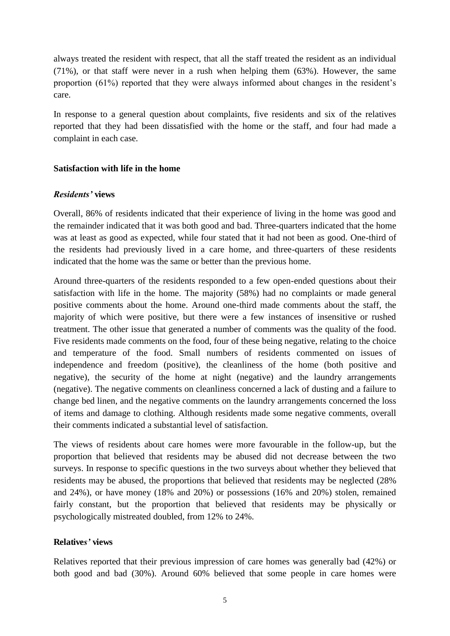always treated the resident with respect, that all the staff treated the resident as an individual (71%), or that staff were never in a rush when helping them (63%). However, the same proportion (61%) reported that they were always informed about changes in the resident's care.

In response to a general question about complaints, five residents and six of the relatives reported that they had been dissatisfied with the home or the staff, and four had made a complaint in each case.

#### **Satisfaction with life in the home**

#### *Residents'* **views**

Overall, 86% of residents indicated that their experience of living in the home was good and the remainder indicated that it was both good and bad. Three-quarters indicated that the home was at least as good as expected, while four stated that it had not been as good. One-third of the residents had previously lived in a care home, and three-quarters of these residents indicated that the home was the same or better than the previous home.

Around three-quarters of the residents responded to a few open-ended questions about their satisfaction with life in the home. The majority (58%) had no complaints or made general positive comments about the home. Around one-third made comments about the staff, the majority of which were positive, but there were a few instances of insensitive or rushed treatment. The other issue that generated a number of comments was the quality of the food. Five residents made comments on the food, four of these being negative, relating to the choice and temperature of the food. Small numbers of residents commented on issues of independence and freedom (positive), the cleanliness of the home (both positive and negative), the security of the home at night (negative) and the laundry arrangements (negative). The negative comments on cleanliness concerned a lack of dusting and a failure to change bed linen, and the negative comments on the laundry arrangements concerned the loss of items and damage to clothing. Although residents made some negative comments, overall their comments indicated a substantial level of satisfaction.

The views of residents about care homes were more favourable in the follow-up, but the proportion that believed that residents may be abused did not decrease between the two surveys. In response to specific questions in the two surveys about whether they believed that residents may be abused, the proportions that believed that residents may be neglected (28% and 24%), or have money (18% and 20%) or possessions (16% and 20%) stolen, remained fairly constant, but the proportion that believed that residents may be physically or psychologically mistreated doubled, from 12% to 24%.

#### **Relative***s'* **views**

Relatives reported that their previous impression of care homes was generally bad (42%) or both good and bad (30%). Around 60% believed that some people in care homes were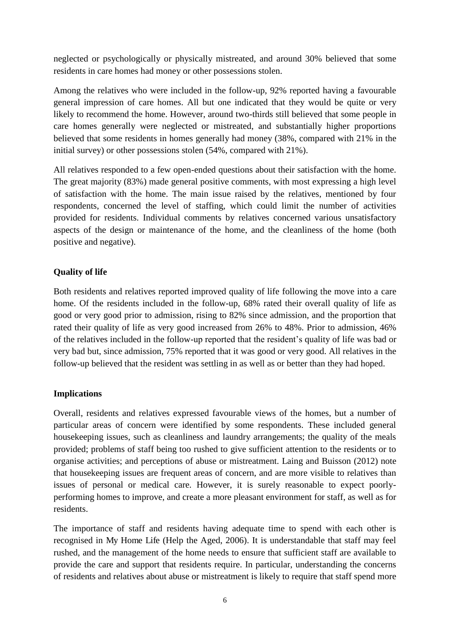neglected or psychologically or physically mistreated, and around 30% believed that some residents in care homes had money or other possessions stolen.

Among the relatives who were included in the follow-up, 92% reported having a favourable general impression of care homes. All but one indicated that they would be quite or very likely to recommend the home. However, around two-thirds still believed that some people in care homes generally were neglected or mistreated, and substantially higher proportions believed that some residents in homes generally had money (38%, compared with 21% in the initial survey) or other possessions stolen (54%, compared with 21%).

All relatives responded to a few open-ended questions about their satisfaction with the home. The great majority (83%) made general positive comments, with most expressing a high level of satisfaction with the home. The main issue raised by the relatives, mentioned by four respondents, concerned the level of staffing, which could limit the number of activities provided for residents. Individual comments by relatives concerned various unsatisfactory aspects of the design or maintenance of the home, and the cleanliness of the home (both positive and negative).

#### **Quality of life**

Both residents and relatives reported improved quality of life following the move into a care home. Of the residents included in the follow-up, 68% rated their overall quality of life as good or very good prior to admission, rising to 82% since admission, and the proportion that rated their quality of life as very good increased from 26% to 48%. Prior to admission, 46% of the relatives included in the follow-up reported that the resident's quality of life was bad or very bad but, since admission, 75% reported that it was good or very good. All relatives in the follow-up believed that the resident was settling in as well as or better than they had hoped.

#### **Implications**

Overall, residents and relatives expressed favourable views of the homes, but a number of particular areas of concern were identified by some respondents. These included general housekeeping issues, such as cleanliness and laundry arrangements; the quality of the meals provided; problems of staff being too rushed to give sufficient attention to the residents or to organise activities; and perceptions of abuse or mistreatment. Laing and Buisson (2012) note that housekeeping issues are frequent areas of concern, and are more visible to relatives than issues of personal or medical care. However, it is surely reasonable to expect poorlyperforming homes to improve, and create a more pleasant environment for staff, as well as for residents.

The importance of staff and residents having adequate time to spend with each other is recognised in My Home Life (Help the Aged, 2006). It is understandable that staff may feel rushed, and the management of the home needs to ensure that sufficient staff are available to provide the care and support that residents require. In particular, understanding the concerns of residents and relatives about abuse or mistreatment is likely to require that staff spend more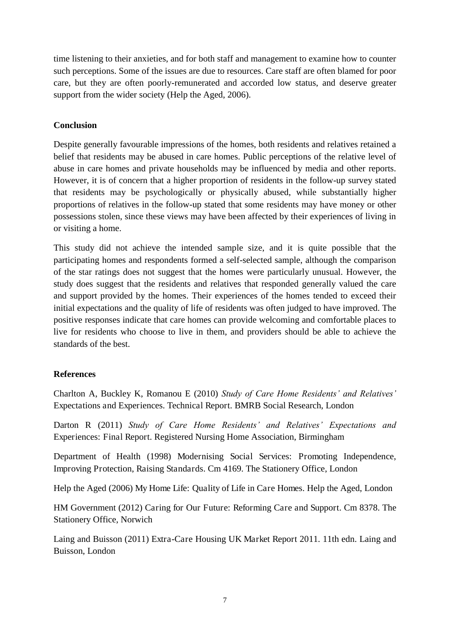time listening to their anxieties, and for both staff and management to examine how to counter such perceptions. Some of the issues are due to resources. Care staff are often blamed for poor care, but they are often poorly-remunerated and accorded low status, and deserve greater support from the wider society (Help the Aged, 2006).

#### **Conclusion**

Despite generally favourable impressions of the homes, both residents and relatives retained a belief that residents may be abused in care homes. Public perceptions of the relative level of abuse in care homes and private households may be influenced by media and other reports. However, it is of concern that a higher proportion of residents in the follow-up survey stated that residents may be psychologically or physically abused, while substantially higher proportions of relatives in the follow-up stated that some residents may have money or other possessions stolen, since these views may have been affected by their experiences of living in or visiting a home.

This study did not achieve the intended sample size, and it is quite possible that the participating homes and respondents formed a self-selected sample, although the comparison of the star ratings does not suggest that the homes were particularly unusual. However, the study does suggest that the residents and relatives that responded generally valued the care and support provided by the homes. Their experiences of the homes tended to exceed their initial expectations and the quality of life of residents was often judged to have improved. The positive responses indicate that care homes can provide welcoming and comfortable places to live for residents who choose to live in them, and providers should be able to achieve the standards of the best.

#### **References**

Charlton A, Buckley K, Romanou E (2010) *Study of Care Home Residents' and Relatives'*  Expectations and Experiences. Technical Report. BMRB Social Research, London

Darton R (2011) *Study of Care Home Residents' and Relatives' Expectations and*  Experiences: Final Report. Registered Nursing Home Association, Birmingham

Department of Health (1998) Modernising Social Services: Promoting Independence, Improving Protection, Raising Standards. Cm 4169. The Stationery Office, London

Help the Aged (2006) My Home Life: Quality of Life in Care Homes. Help the Aged, London

HM Government (2012) Caring for Our Future: Reforming Care and Support. Cm 8378. The Stationery Office, Norwich

Laing and Buisson (2011) Extra-Care Housing UK Market Report 2011. 11th edn. Laing and Buisson, London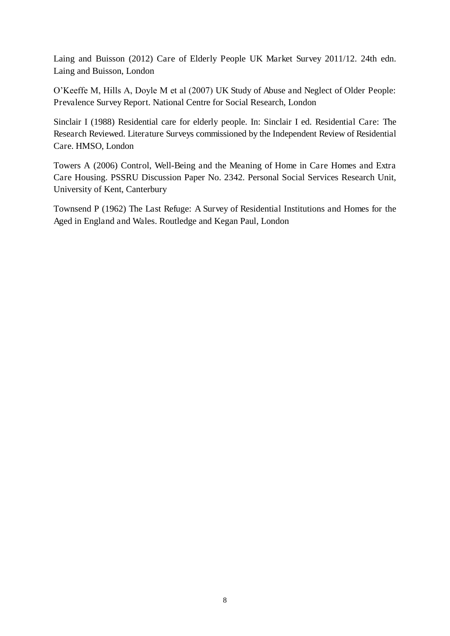Laing and Buisson (2012) Care of Elderly People UK Market Survey 2011/12. 24th edn. Laing and Buisson, London

O'Keeffe M, Hills A, Doyle M et al (2007) UK Study of Abuse and Neglect of Older People: Prevalence Survey Report. National Centre for Social Research, London

Sinclair I (1988) Residential care for elderly people. In: Sinclair I ed. Residential Care: The Research Reviewed. Literature Surveys commissioned by the Independent Review of Residential Care. HMSO, London

Towers A (2006) Control, Well-Being and the Meaning of Home in Care Homes and Extra Care Housing. PSSRU Discussion Paper No. 2342. Personal Social Services Research Unit, University of Kent, Canterbury

Townsend P (1962) The Last Refuge: A Survey of Residential Institutions and Homes for the Aged in England and Wales. Routledge and Kegan Paul, London